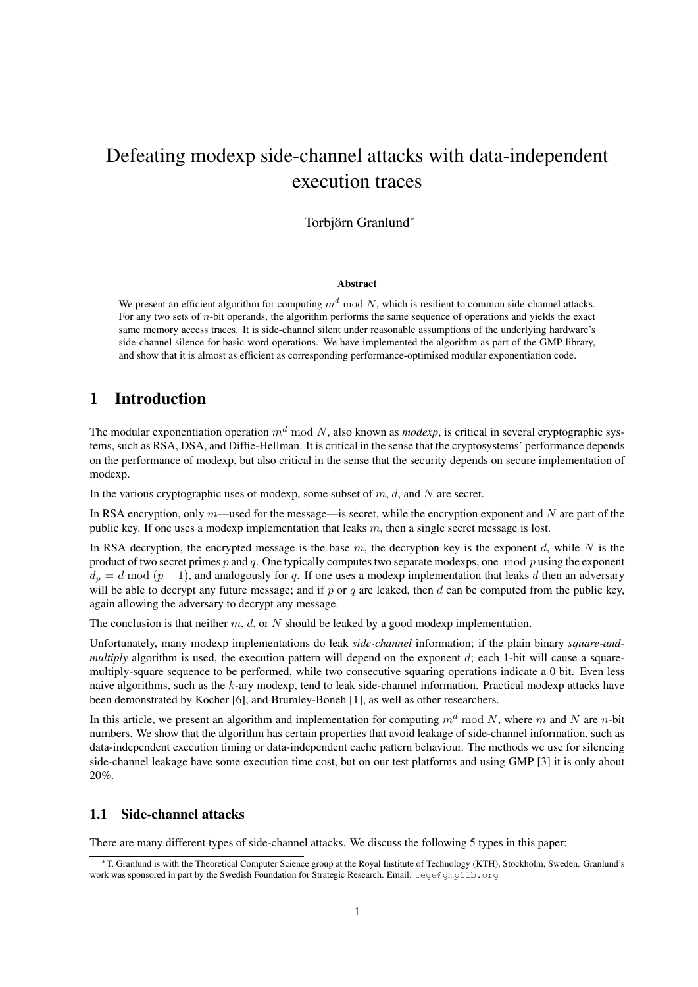# Defeating modexp side-channel attacks with data-independent execution traces

Torbjörn Granlund<sup>\*</sup>

#### Abstract

We present an efficient algorithm for computing  $m^d$  mod N, which is resilient to common side-channel attacks. For any two sets of n-bit operands, the algorithm performs the same sequence of operations and yields the exact same memory access traces. It is side-channel silent under reasonable assumptions of the underlying hardware's side-channel silence for basic word operations. We have implemented the algorithm as part of the GMP library, and show that it is almost as efficient as corresponding performance-optimised modular exponentiation code.

# 1 Introduction

The modular exponentiation operation  $m<sup>d</sup>$  mod N, also known as *modexp*, is critical in several cryptographic systems, such as RSA, DSA, and Diffie-Hellman. It is critical in the sense that the cryptosystems' performance depends on the performance of modexp, but also critical in the sense that the security depends on secure implementation of modexp.

In the various cryptographic uses of modexp, some subset of  $m$ ,  $d$ , and  $N$  are secret.

In RSA encryption, only  $m$ —used for the message—is secret, while the encryption exponent and N are part of the public key. If one uses a modexp implementation that leaks  $m$ , then a single secret message is lost.

In RSA decryption, the encrypted message is the base  $m$ , the decryption key is the exponent  $d$ , while  $N$  is the product of two secret primes  $p$  and  $q$ . One typically computes two separate modexps, one mod  $p$  using the exponent  $d_p = d \mod (p-1)$ , and analogously for q. If one uses a modexp implementation that leaks d then an adversary will be able to decrypt any future message; and if  $p$  or  $q$  are leaked, then  $d$  can be computed from the public key, again allowing the adversary to decrypt any message.

The conclusion is that neither m, d, or N should be leaked by a good modexp implementation.

Unfortunately, many modexp implementations do leak *side-channel* information; if the plain binary *square-andmultiply* algorithm is used, the execution pattern will depend on the exponent d; each 1-bit will cause a squaremultiply-square sequence to be performed, while two consecutive squaring operations indicate a 0 bit. Even less naive algorithms, such as the k-ary modexp, tend to leak side-channel information. Practical modexp attacks have been demonstrated by Kocher [6], and Brumley-Boneh [1], as well as other researchers.

In this article, we present an algorithm and implementation for computing  $m<sup>d</sup>$  mod N, where m and N are n-bit numbers. We show that the algorithm has certain properties that avoid leakage of side-channel information, such as data-independent execution timing or data-independent cache pattern behaviour. The methods we use for silencing side-channel leakage have some execution time cost, but on our test platforms and using GMP [3] it is only about 20%.

#### 1.1 Side-channel attacks

There are many different types of side-channel attacks. We discuss the following 5 types in this paper:

<sup>∗</sup>T. Granlund is with the Theoretical Computer Science group at the Royal Institute of Technology (KTH), Stockholm, Sweden. Granlund's work was sponsored in part by the Swedish Foundation for Strategic Research. Email: tege@gmplib.org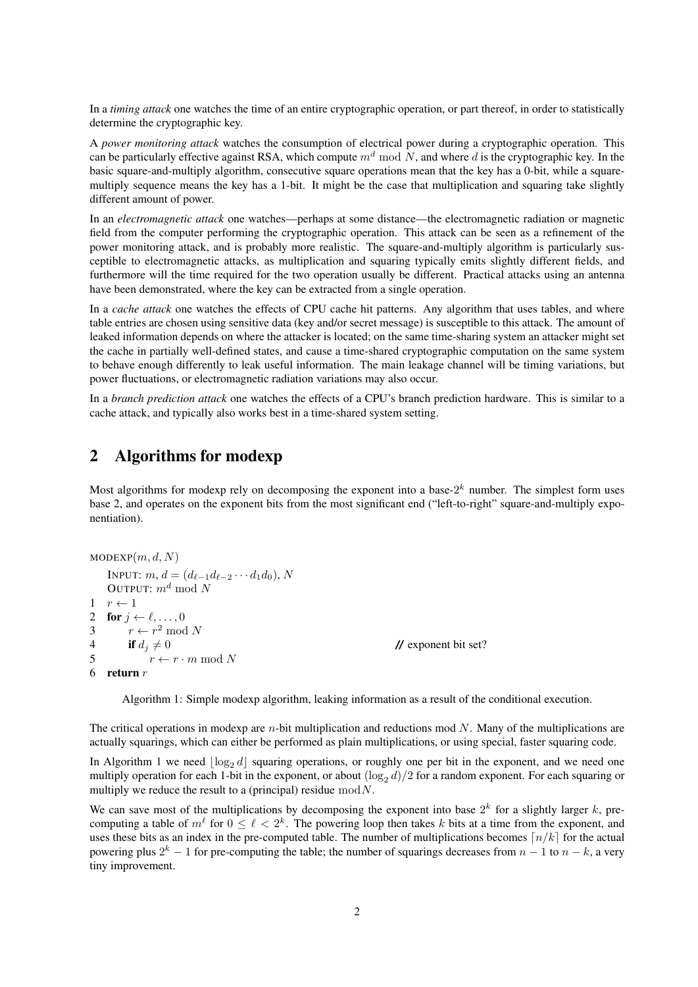In a *timing attack* one watches the time of an entire cryptographic operation, or part thereof, in order to statistically determine the cryptographic key.

A *power monitoring attack* watches the consumption of electrical power during a cryptographic operation. This can be particularly effective against RSA, which compute  $m<sup>d</sup>$  mod N, and where d is the cryptographic key. In the basic square-and-multiply algorithm, consecutive square operations mean that the key has a 0-bit, while a squaremultiply sequence means the key has a 1-bit. It might be the case that multiplication and squaring take slightly different amount of power.

In an *electromagnetic attack* one watches—perhaps at some distance—the electromagnetic radiation or magnetic field from the computer performing the cryptographic operation. This attack can be seen as a refinement of the power monitoring attack, and is probably more realistic. The square-and-multiply algorithm is particularly susceptible to electromagnetic attacks, as multiplication and squaring typically emits slightly different fields, and furthermore will the time required for the two operation usually be different. Practical attacks using an antenna have been demonstrated, where the key can be extracted from a single operation.

In a *cache attack* one watches the effects of CPU cache hit patterns. Any algorithm that uses tables, and where table entries are chosen using sensitive data (key and/or secret message) is susceptible to this attack. The amount of leaked information depends on where the attacker is located; on the same time-sharing system an attacker might set the cache in partially well-defined states, and cause a time-shared cryptographic computation on the same system to behave enough differently to leak useful information. The main leakage channel will be timing variations, but power fluctuations, or electromagnetic radiation variations may also occur.

In a *branch prediction attack* one watches the effects of a CPU's branch prediction hardware. This is similar to a cache attack, and typically also works best in a time-shared system setting.

# 2 Algorithms for modexp

Most algorithms for modexp rely on decomposing the exponent into a base- $2^k$  number. The simplest form uses base 2, and operates on the exponent bits from the most significant end ("left-to-right" square-and-multiply exponentiation).

```
MODEXP(m, d, N)INPUT: m, d = (d_{\ell-1}d_{\ell-2} \cdots d_1d_0), NOUTPUT: m^d \mod N1 \quad r \leftarrow 12 for j \leftarrow \ell, \ldots, 03 r \leftarrow r^2 \mod N4 if d_j \neq 0 // exponent bit set?<br>5 r \leftarrow r \cdot m \mod Nr \leftarrow r \cdot m \mod N6 return r
```
Algorithm 1: Simple modexp algorithm, leaking information as a result of the conditional execution.

The critical operations in modexp are  $n$ -bit multiplication and reductions mod  $N$ . Many of the multiplications are actually squarings, which can either be performed as plain multiplications, or using special, faster squaring code.

In Algorithm 1 we need  $\log_2 d$  squaring operations, or roughly one per bit in the exponent, and we need one multiply operation for each 1-bit in the exponent, or about  $(\log_2 d)/2$  for a random exponent. For each squaring or multiply we reduce the result to a (principal) residue  $mod N$ .

We can save most of the multiplications by decomposing the exponent into base  $2^k$  for a slightly larger k, precomputing a table of  $m^{\ell}$  for  $0 \leq \ell < 2^{k}$ . The powering loop then takes k bits at a time from the exponent, and uses these bits as an index in the pre-computed table. The number of multiplications becomes  $n/k$  for the actual powering plus  $2^k - 1$  for pre-computing the table; the number of squarings decreases from  $n - 1$  to  $n - k$ , a very tiny improvement.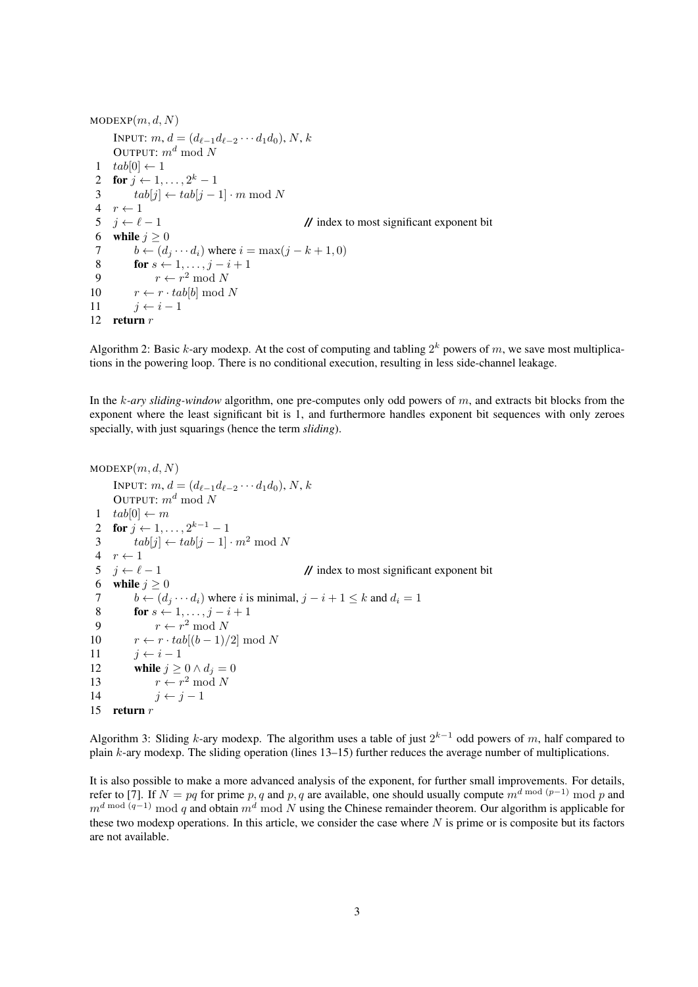$MODEXP(m, d, N)$ INPUT:  $m, d = (d_{\ell-1}d_{\ell-2} \cdots d_1d_0), N, k$ OUTPUT:  $m^d \mod N$ 1  $tab[0] \leftarrow 1$ 2 for  $j \leftarrow 1, \ldots, 2^k-1$ 3  $tab[j] \leftarrow tab[j-1] \cdot m \bmod N$ 4  $r \leftarrow 1$  $5 \quad j \leftarrow \ell - 1$  // index to most significant exponent bit 6 while  $j \geq 0$ 7  $b \leftarrow (d_j \cdots d_i)$  where  $i = \max(j - k + 1, 0)$ <br>8 **for**  $s \leftarrow 1, \ldots, j - i + 1$ for  $s \leftarrow 1, \ldots, j - i + 1$ 9  $r \leftarrow r^2 \mod N$ 10  $r \leftarrow r \cdot tab[b] \mod N$ 11  $j \leftarrow i - 1$ 12 return  $r$ 

Algorithm 2: Basic k-ary modexp. At the cost of computing and tabling  $2^k$  powers of m, we save most multiplications in the powering loop. There is no conditional execution, resulting in less side-channel leakage.

In the k*-ary sliding-window* algorithm, one pre-computes only odd powers of m, and extracts bit blocks from the exponent where the least significant bit is 1, and furthermore handles exponent bit sequences with only zeroes specially, with just squarings (hence the term *sliding*).

```
MODEXP(m, d, N)INPUT: m, d = (d_{\ell-1}d_{\ell-2} \cdots d_1d_0), N, kOUTPUT: m^d \mod N1 tab[0] \leftarrow m2 for j \leftarrow 1, ..., 2^{k-1} - 13 tab[j] \leftarrow tab[j-1] \cdot m^2 \text{ mod } N4 r \leftarrow 15 \quad j \leftarrow \ell - 1 // index to most significant exponent bit
 6 while j \geq 07 b \leftarrow (d_i \cdots d_i) where i is minimal, j - i + 1 \leq k and d_i = 18 for s \leftarrow 1, ..., j - i + 19 r \leftarrow r^2 \mod N10 r \leftarrow r \cdot tab[(b-1)/2] \mod N11 j \leftarrow i - 112 while j \geq 0 \wedge d_j = 013 r \leftarrow r^2 \mod N14 j \leftarrow j - 115 return r
```
Algorithm 3: Sliding k-ary modexp. The algorithm uses a table of just  $2^{k-1}$  odd powers of m, half compared to plain k-ary modexp. The sliding operation (lines 13–15) further reduces the average number of multiplications.

It is also possible to make a more advanced analysis of the exponent, for further small improvements. For details, refer to [7]. If  $N = pq$  for prime p, q and p, q are available, one should usually compute  $m^{d \mod (p-1)} \mod p$  and  $m^{d \mod (q-1)} \mod q$  and obtain  $m^d \mod N$  using the Chinese remainder theorem. Our algorithm is applicable for these two modexp operations. In this article, we consider the case where  $N$  is prime or is composite but its factors are not available.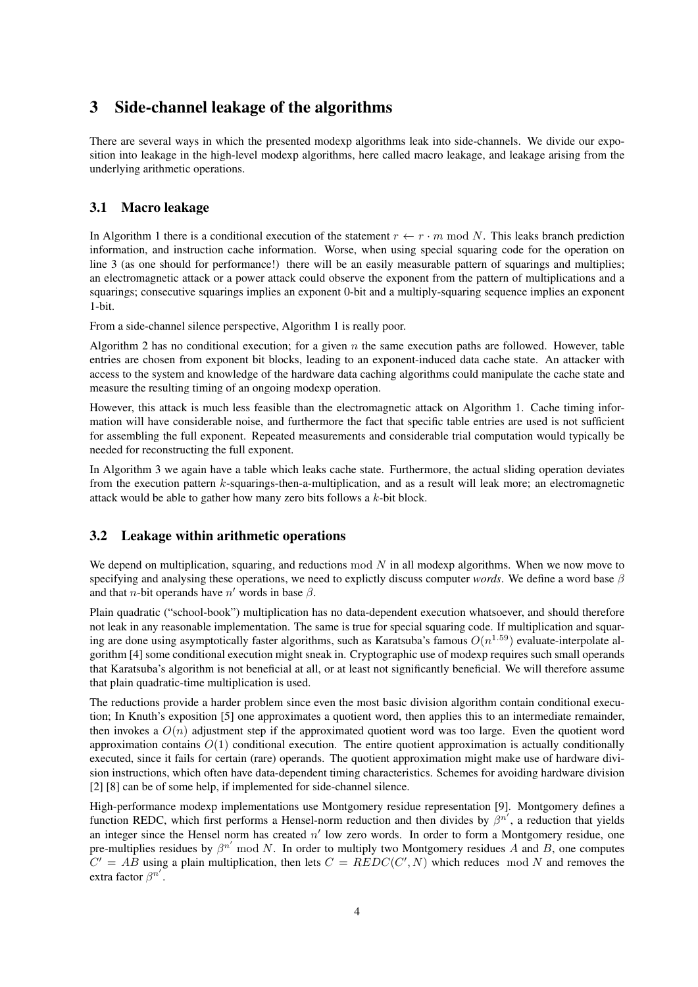# 3 Side-channel leakage of the algorithms

There are several ways in which the presented modexp algorithms leak into side-channels. We divide our exposition into leakage in the high-level modexp algorithms, here called macro leakage, and leakage arising from the underlying arithmetic operations.

### 3.1 Macro leakage

In Algorithm 1 there is a conditional execution of the statement  $r \leftarrow r \cdot m \mod N$ . This leaks branch prediction information, and instruction cache information. Worse, when using special squaring code for the operation on line 3 (as one should for performance!) there will be an easily measurable pattern of squarings and multiplies; an electromagnetic attack or a power attack could observe the exponent from the pattern of multiplications and a squarings; consecutive squarings implies an exponent 0-bit and a multiply-squaring sequence implies an exponent 1-bit.

From a side-channel silence perspective, Algorithm 1 is really poor.

Algorithm 2 has no conditional execution; for a given  $n$  the same execution paths are followed. However, table entries are chosen from exponent bit blocks, leading to an exponent-induced data cache state. An attacker with access to the system and knowledge of the hardware data caching algorithms could manipulate the cache state and measure the resulting timing of an ongoing modexp operation.

However, this attack is much less feasible than the electromagnetic attack on Algorithm 1. Cache timing information will have considerable noise, and furthermore the fact that specific table entries are used is not sufficient for assembling the full exponent. Repeated measurements and considerable trial computation would typically be needed for reconstructing the full exponent.

In Algorithm 3 we again have a table which leaks cache state. Furthermore, the actual sliding operation deviates from the execution pattern k-squarings-then-a-multiplication, and as a result will leak more; an electromagnetic attack would be able to gather how many zero bits follows a k-bit block.

#### 3.2 Leakage within arithmetic operations

We depend on multiplication, squaring, and reductions mod  $N$  in all modexp algorithms. When we now move to specifying and analysing these operations, we need to explictly discuss computer *words*. We define a word base β and that *n*-bit operands have  $n'$  words in base  $\beta$ .

Plain quadratic ("school-book") multiplication has no data-dependent execution whatsoever, and should therefore not leak in any reasonable implementation. The same is true for special squaring code. If multiplication and squaring are done using asymptotically faster algorithms, such as Karatsuba's famous  $O(n^{1.59})$  evaluate-interpolate algorithm [4] some conditional execution might sneak in. Cryptographic use of modexp requires such small operands that Karatsuba's algorithm is not beneficial at all, or at least not significantly beneficial. We will therefore assume that plain quadratic-time multiplication is used.

The reductions provide a harder problem since even the most basic division algorithm contain conditional execution; In Knuth's exposition [5] one approximates a quotient word, then applies this to an intermediate remainder, then invokes a  $O(n)$  adjustment step if the approximated quotient word was too large. Even the quotient word approximation contains  $O(1)$  conditional execution. The entire quotient approximation is actually conditionally executed, since it fails for certain (rare) operands. The quotient approximation might make use of hardware division instructions, which often have data-dependent timing characteristics. Schemes for avoiding hardware division [2] [8] can be of some help, if implemented for side-channel silence.

High-performance modexp implementations use Montgomery residue representation [9]. Montgomery defines a function REDC, which first performs a Hensel-norm reduction and then divides by  $\beta^{n'}$ , a reduction that yields an integer since the Hensel norm has created  $n'$  low zero words. In order to form a Montgomery residue, one pre-multiplies residues by  $\beta^{n'}$  mod N. In order to multiply two Montgomery residues A and B, one computes  $C' = AB$  using a plain multiplication, then lets  $C = REDC(C', N)$  which reduces mod N and removes the extra factor  $\beta^{n'}$ .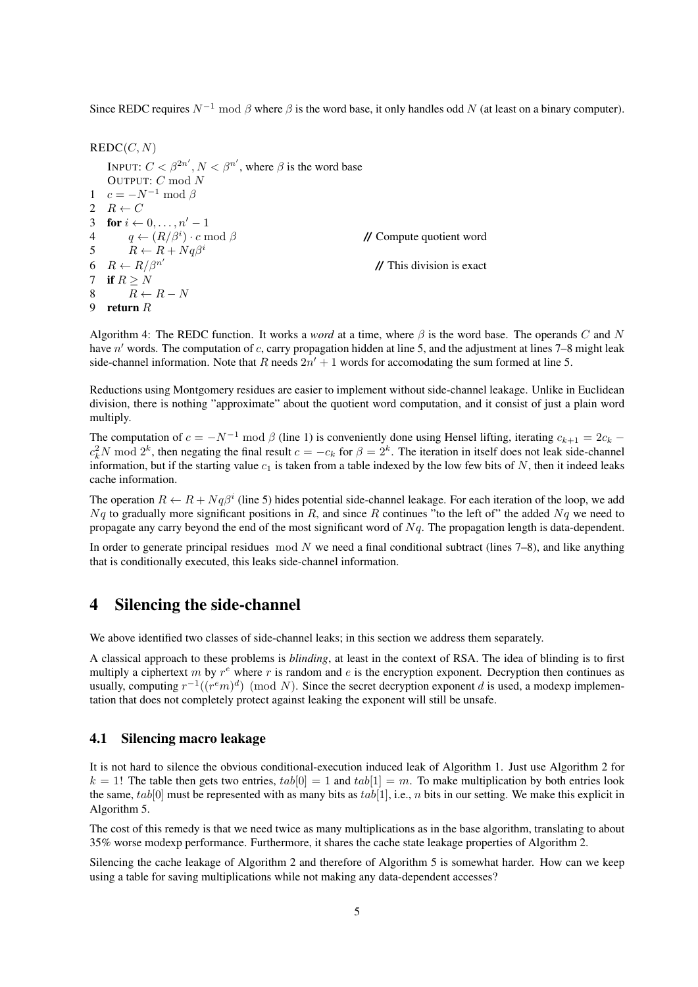Since REDC requires  $N^{-1}$  mod  $\beta$  where  $\beta$  is the word base, it only handles odd N (at least on a binary computer).

 $REDC(C, N)$ INPUT:  $C < \beta^{2n'}$ ,  $N < \beta^{n'}$ , where  $\beta$  is the word base OUTPUT: C mod N 1  $c = -N^{-1} \mod \beta$ 2  $R \leftarrow C$ 3 for  $i \leftarrow 0, \ldots, n'-1$ 4  $q \leftarrow (R/\beta^i) \cdot c \mod \beta$ // Compute quotient word 5  $R \leftarrow R + Nq\beta^i$ 6  $R \leftarrow R/\beta^{n'}$ **//** This division is exact 7 if  $R > N$ 8  $R \leftarrow R - N$ 9 return R

Algorithm 4: The REDC function. It works a *word* at a time, where  $\beta$  is the word base. The operands C and N have  $n'$  words. The computation of c, carry propagation hidden at line 5, and the adjustment at lines 7–8 might leak side-channel information. Note that R needs  $2n' + 1$  words for accomodating the sum formed at line 5.

Reductions using Montgomery residues are easier to implement without side-channel leakage. Unlike in Euclidean division, there is nothing "approximate" about the quotient word computation, and it consist of just a plain word multiply.

The computation of  $c = -N^{-1}$  mod  $\beta$  (line 1) is conveniently done using Hensel lifting, iterating  $c_{k+1} = 2c_k$  $c_k^2 N \text{ mod } 2^k$ , then negating the final result  $c = -c_k$  for  $\beta = 2^k$ . The iteration in itself does not leak side-channel information, but if the starting value  $c_1$  is taken from a table indexed by the low few bits of N, then it indeed leaks cache information.

The operation  $R \leftarrow R + Nq\beta^i$  (line 5) hides potential side-channel leakage. For each iteration of the loop, we add  $Nq$  to gradually more significant positions in R, and since R continues "to the left of" the added  $Nq$  we need to propagate any carry beyond the end of the most significant word of  $Nq$ . The propagation length is data-dependent.

In order to generate principal residues mod N we need a final conditional subtract (lines  $7-8$ ), and like anything that is conditionally executed, this leaks side-channel information.

# 4 Silencing the side-channel

We above identified two classes of side-channel leaks; in this section we address them separately.

A classical approach to these problems is *blinding*, at least in the context of RSA. The idea of blinding is to first multiply a ciphertext m by  $r^e$  where r is random and e is the encryption exponent. Decryption then continues as usually, computing  $r^{-1}((r^em)^d) \pmod{N}$ . Since the secret decryption exponent d is used, a modexp implementation that does not completely protect against leaking the exponent will still be unsafe.

#### 4.1 Silencing macro leakage

It is not hard to silence the obvious conditional-execution induced leak of Algorithm 1. Just use Algorithm 2 for  $k = 1!$  The table then gets two entries,  $tab[0] = 1$  and  $tab[1] = m$ . To make multiplication by both entries look the same,  $tab[0]$  must be represented with as many bits as  $tab[1]$ , i.e., n bits in our setting. We make this explicit in Algorithm 5.

The cost of this remedy is that we need twice as many multiplications as in the base algorithm, translating to about 35% worse modexp performance. Furthermore, it shares the cache state leakage properties of Algorithm 2.

Silencing the cache leakage of Algorithm 2 and therefore of Algorithm 5 is somewhat harder. How can we keep using a table for saving multiplications while not making any data-dependent accesses?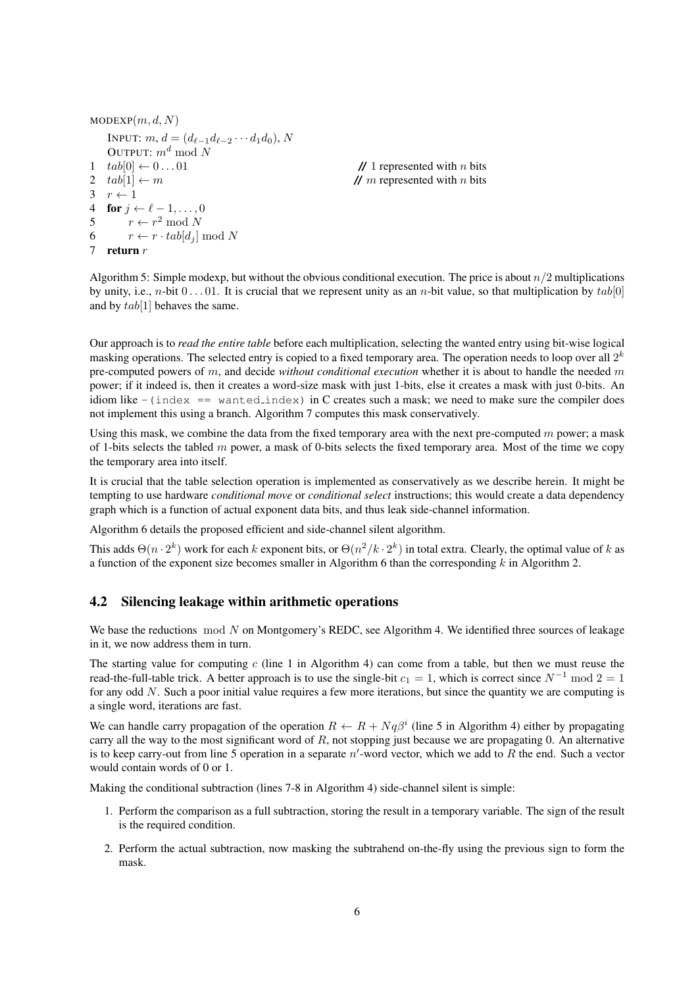```
MODEXP(m, d, N)INPUT: m, d = (d_{\ell-1}d_{\ell-2} \cdots d_1d_0), NOUTPUT: m^d \mod N1 \quad tab[0] \leftarrow 0 \dots 01 // 1 represented with n bits
2 tab[1] \leftarrow m // m represented with n bits
3 \rightharpoonup r \leftarrow 14 for i \leftarrow \ell - 1, \ldots, 05 r \leftarrow r^2 \mod N6 r \leftarrow r \cdot tab[d_i] \mod N7 return r
```
Algorithm 5: Simple modexp, but without the obvious conditional execution. The price is about  $n/2$  multiplications by unity, i.e., *n*-bit  $0 \dots 01$ . It is crucial that we represent unity as an *n*-bit value, so that multiplication by  $tab[0]$ and by  $tab[1]$  behaves the same.

Our approach is to *read the entire table* before each multiplication, selecting the wanted entry using bit-wise logical masking operations. The selected entry is copied to a fixed temporary area. The operation needs to loop over all  $2^k$ pre-computed powers of m, and decide *without conditional execution* whether it is about to handle the needed m power; if it indeed is, then it creates a word-size mask with just 1-bits, else it creates a mask with just 0-bits. An idiom like  $-$ (index == wanted\_index) in C creates such a mask; we need to make sure the compiler does not implement this using a branch. Algorithm 7 computes this mask conservatively.

Using this mask, we combine the data from the fixed temporary area with the next pre-computed  $m$  power; a mask of 1-bits selects the tabled  $m$  power, a mask of 0-bits selects the fixed temporary area. Most of the time we copy the temporary area into itself.

It is crucial that the table selection operation is implemented as conservatively as we describe herein. It might be tempting to use hardware *conditional move* or *conditional select* instructions; this would create a data dependency graph which is a function of actual exponent data bits, and thus leak side-channel information.

Algorithm 6 details the proposed efficient and side-channel silent algorithm.

This adds  $\Theta(n \cdot 2^k)$  work for each k exponent bits, or  $\Theta(n^2/k \cdot 2^k)$  in total extra. Clearly, the optimal value of k as a function of the exponent size becomes smaller in Algorithm 6 than the corresponding  $k$  in Algorithm 2.

#### 4.2 Silencing leakage within arithmetic operations

We base the reductions  $mod\ N$  on Montgomery's REDC, see Algorithm 4. We identified three sources of leakage in it, we now address them in turn.

The starting value for computing  $c$  (line 1 in Algorithm 4) can come from a table, but then we must reuse the read-the-full-table trick. A better approach is to use the single-bit  $c_1 = 1$ , which is correct since  $N^{-1}$  mod  $2 = 1$ for any odd N. Such a poor initial value requires a few more iterations, but since the quantity we are computing is a single word, iterations are fast.

We can handle carry propagation of the operation  $R \leftarrow R + Nq\beta^i$  (line 5 in Algorithm 4) either by propagating carry all the way to the most significant word of R, not stopping just because we are propagating 0. An alternative is to keep carry-out from line 5 operation in a separate  $n'$ -word vector, which we add to  $R$  the end. Such a vector would contain words of 0 or 1.

Making the conditional subtraction (lines 7-8 in Algorithm 4) side-channel silent is simple:

- 1. Perform the comparison as a full subtraction, storing the result in a temporary variable. The sign of the result is the required condition.
- 2. Perform the actual subtraction, now masking the subtrahend on-the-fly using the previous sign to form the mask.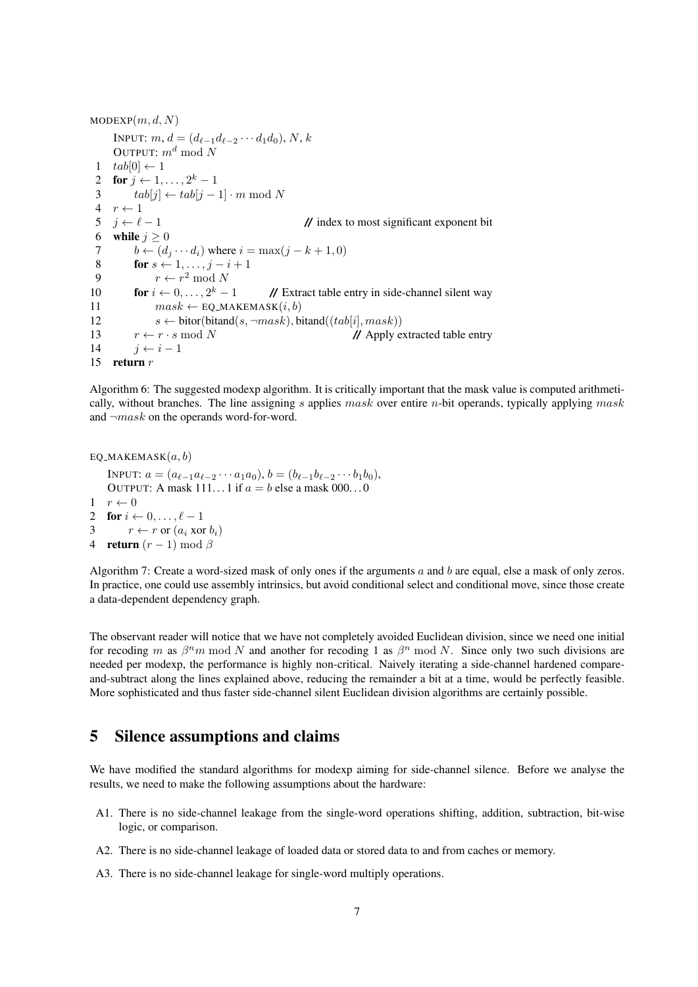```
MODEXP(m, d, N)INPUT: m, d = (d_{\ell-1}d_{\ell-2} \cdots d_1d_0), N, kOUTPUT: m^d \mod N1 tab[0] \leftarrow 12 for j \leftarrow 1, \ldots, 2^k-13 tab[j] \leftarrow tab[j-1] \cdot m \mod N4 r \leftarrow 1<br>5 j \leftarrow \ell - 15 \quad j \leftarrow \ell - 1 // index to most significant exponent bit
 6 while j \geq 07 b \leftarrow (d_j \cdots d_i) where i = \max(j - k + 1, 0)<br>8 for s \leftarrow 1, ..., i - i + 1for s \leftarrow 1, \ldots, j - i + 19 r \leftarrow r^2 \mod N10 for i \leftarrow 0, \ldots, 2^k - 1// Extract table entry in side-channel silent way
11 mask \leftarrow \text{EO\_MARKEMASK}(i, b)12 s \leftarrow \text{bitor}(\text{bitant}(s, \neg mask), \text{bitant}((tab[i], mask))13 r \leftarrow r \cdot s \mod N // Apply extracted table entry
14 j \leftarrow i - 115 return r
```
Algorithm 6: The suggested modexp algorithm. It is critically important that the mask value is computed arithmetically, without branches. The line assigning s applies mask over entire n-bit operands, typically applying mask and  $\neg mask$  on the operands word-for-word.

```
EQ_MAKEMASK(a, b)
```
INPUT:  $a = (a_{\ell-1}a_{\ell-2} \cdots a_1a_0), b = (b_{\ell-1}b_{\ell-2} \cdots b_1b_0),$ OUTPUT: A mask  $111...1$  if  $a = b$  else a mask  $000...0$  $1 \quad r \leftarrow 0$ 2 for  $i \leftarrow 0, \ldots, \ell - 1$ 3  $r \leftarrow r$  or  $(a_i \text{ xor } b_i)$ 4 **return**  $(r-1) \bmod \beta$ 

Algorithm 7: Create a word-sized mask of only ones if the arguments  $a$  and  $b$  are equal, else a mask of only zeros. In practice, one could use assembly intrinsics, but avoid conditional select and conditional move, since those create a data-dependent dependency graph.

The observant reader will notice that we have not completely avoided Euclidean division, since we need one initial for recoding m as  $\beta^n m \mod N$  and another for recoding 1 as  $\beta^n \mod N$ . Since only two such divisions are needed per modexp, the performance is highly non-critical. Naively iterating a side-channel hardened compareand-subtract along the lines explained above, reducing the remainder a bit at a time, would be perfectly feasible. More sophisticated and thus faster side-channel silent Euclidean division algorithms are certainly possible.

# 5 Silence assumptions and claims

We have modified the standard algorithms for modexp aiming for side-channel silence. Before we analyse the results, we need to make the following assumptions about the hardware:

- A1. There is no side-channel leakage from the single-word operations shifting, addition, subtraction, bit-wise logic, or comparison.
- A2. There is no side-channel leakage of loaded data or stored data to and from caches or memory.
- A3. There is no side-channel leakage for single-word multiply operations.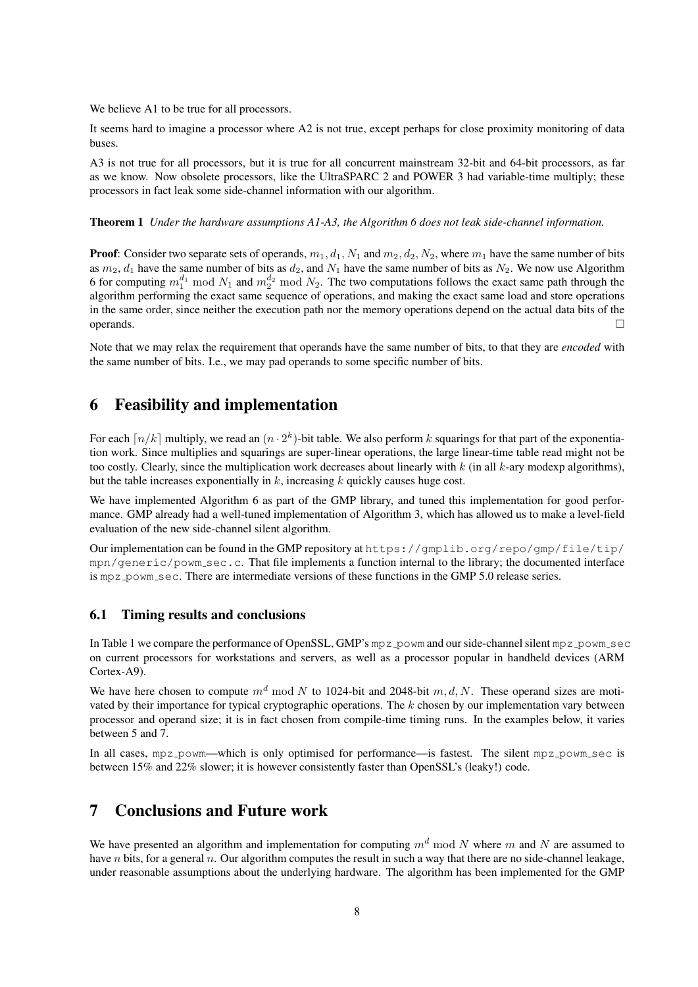We believe A1 to be true for all processors.

It seems hard to imagine a processor where A2 is not true, except perhaps for close proximity monitoring of data buses.

A3 is not true for all processors, but it is true for all concurrent mainstream 32-bit and 64-bit processors, as far as we know. Now obsolete processors, like the UltraSPARC 2 and POWER 3 had variable-time multiply; these processors in fact leak some side-channel information with our algorithm.

#### Theorem 1 *Under the hardware assumptions A1-A3, the Algorithm 6 does not leak side-channel information.*

**Proof:** Consider two separate sets of operands,  $m_1$ ,  $d_1$ ,  $N_1$  and  $m_2$ ,  $d_2$ ,  $N_2$ , where  $m_1$  have the same number of bits as  $m_2$ ,  $d_1$  have the same number of bits as  $d_2$ , and  $N_1$  have the same number of bits as  $N_2$ . We now use Algorithm 6 for computing  $m_1^{d_1} \bmod N_1$  and  $m_2^{d_2} \bmod N_2$ . The two computations follows the exact same path through the algorithm performing the exact same sequence of operations, and making the exact same load and store operations in the same order, since neither the execution path nor the memory operations depend on the actual data bits of the operands.

Note that we may relax the requirement that operands have the same number of bits, to that they are *encoded* with the same number of bits. I.e., we may pad operands to some specific number of bits.

# 6 Feasibility and implementation

For each  $\lceil n/k \rceil$  multiply, we read an  $(n \cdot 2^k)$ -bit table. We also perform k squarings for that part of the exponentiation work. Since multiplies and squarings are super-linear operations, the large linear-time table read might not be too costly. Clearly, since the multiplication work decreases about linearly with  $k$  (in all  $k$ -ary modexp algorithms), but the table increases exponentially in  $k$ , increasing  $k$  quickly causes huge cost.

We have implemented Algorithm 6 as part of the GMP library, and tuned this implementation for good performance. GMP already had a well-tuned implementation of Algorithm 3, which has allowed us to make a level-field evaluation of the new side-channel silent algorithm.

Our implementation can be found in the GMP repository at https://gmplib.org/repo/gmp/file/tip/ mpn/generic/powm sec.c. That file implements a function internal to the library; the documented interface is mpz\_powm\_sec. There are intermediate versions of these functions in the GMP 5.0 release series.

#### 6.1 Timing results and conclusions

In Table 1 we compare the performance of OpenSSL, GMP's mpz\_powm and our side-channel silent mpz\_powm\_sec on current processors for workstations and servers, as well as a processor popular in handheld devices (ARM Cortex-A9).

We have here chosen to compute  $m<sup>d</sup>$  mod N to 1024-bit and 2048-bit  $m, d, N$ . These operand sizes are motivated by their importance for typical cryptographic operations. The  $k$  chosen by our implementation vary between processor and operand size; it is in fact chosen from compile-time timing runs. In the examples below, it varies between 5 and 7.

In all cases,  $mpz$ -powm—which is only optimised for performance—is fastest. The silent  $mpz$ -powm sec is between 15% and 22% slower; it is however consistently faster than OpenSSL's (leaky!) code.

# 7 Conclusions and Future work

We have presented an algorithm and implementation for computing  $m<sup>d</sup>$  mod N where m and N are assumed to have n bits, for a general n. Our algorithm computes the result in such a way that there are no side-channel leakage, under reasonable assumptions about the underlying hardware. The algorithm has been implemented for the GMP